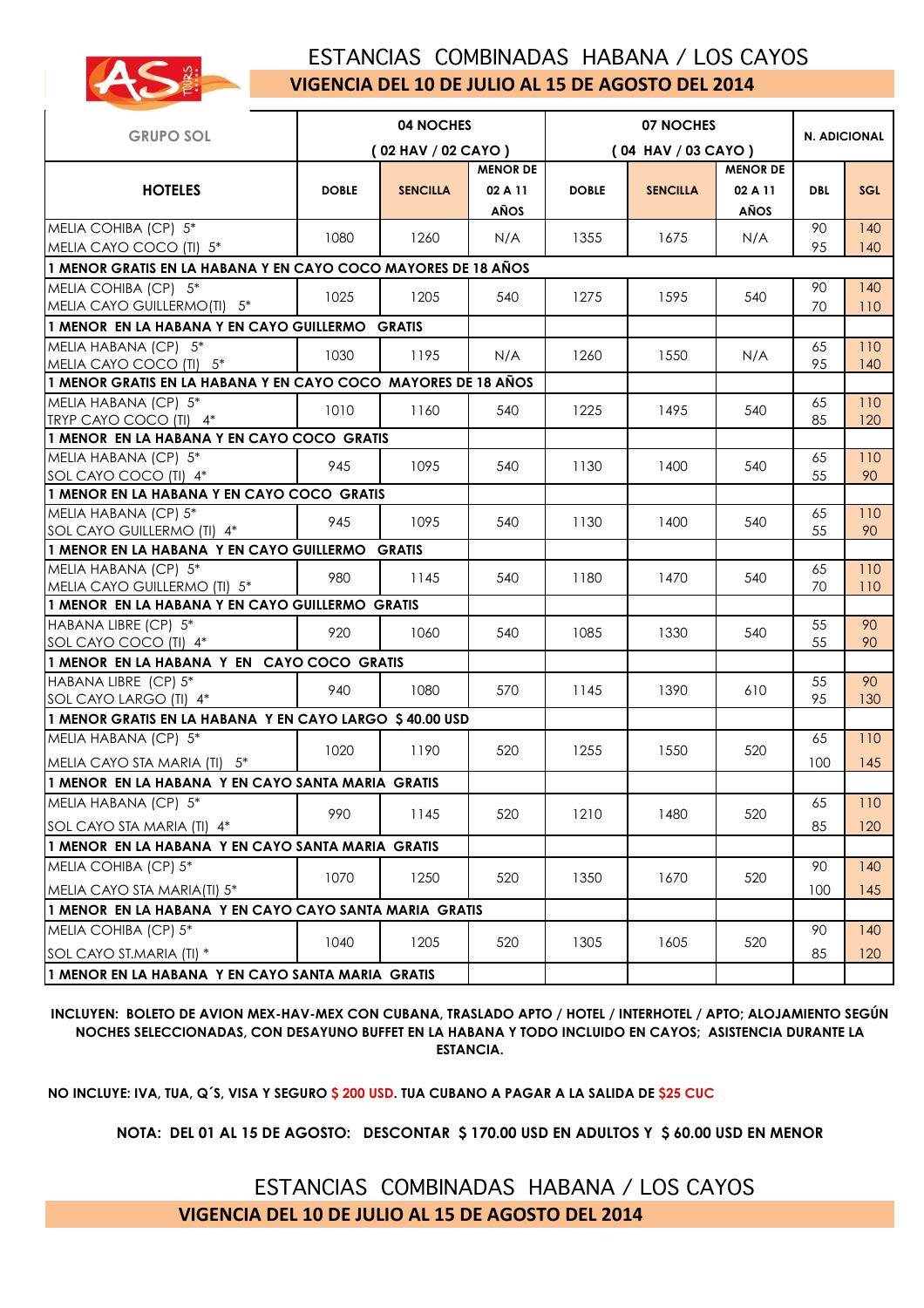

## ESTANCIAS COMBINADAS HABANA / LOS CAYOS **VIGENCIA DEL 10 DE JULIO AL 15 DE AGOSTO DEL 2014**

| 04 NOCHES<br><b>GRUPO SOL</b>                                       |                    |                 |                       | 07 NOCHES    |                 | <b>N. ADICIONAL</b> |            |            |
|---------------------------------------------------------------------|--------------------|-----------------|-----------------------|--------------|-----------------|---------------------|------------|------------|
|                                                                     | (02 HAV / 02 CAYO) |                 | $(04$ HAV $/03$ CAYO) |              |                 |                     |            |            |
|                                                                     |                    |                 | <b>MENOR DE</b>       |              |                 | <b>MENOR DE</b>     |            |            |
| <b>HOTELES</b>                                                      | <b>DOBLE</b>       | <b>SENCILLA</b> | 02 A 11               | <b>DOBLE</b> | <b>SENCILLA</b> | 02 A 11             | <b>DBL</b> | <b>SGL</b> |
|                                                                     |                    |                 | AÑOS                  |              |                 | AÑOS                |            |            |
| MELIA COHIBA (CP) 5*                                                |                    |                 |                       |              |                 |                     | 90         | 140        |
| MELIA CAYO COCO (TI) 5*                                             | 1080               | 1260            | N/A                   | 1355         | 1675            | N/A                 | 95         | 140        |
| 1 MENOR GRATIS EN LA HABANA Y EN CAYO COCO MAYORES DE 18 AÑOS       |                    |                 |                       |              |                 |                     |            |            |
| MELIA COHIBA (CP) 5*                                                |                    |                 |                       |              |                 |                     | 90         | 140        |
| MELIA CAYO GUILLERMO(TI) 5*                                         | 1025               | 1205            | 540                   | 1275         | 1595            | 540                 | 70         | 110        |
| 1 MENOR EN LA HABANA Y EN CAYO GUILLERMO GRATIS                     |                    |                 |                       |              |                 |                     |            |            |
| MELIA HABANA (CP) 5*                                                | 1030               | 1195            | N/A                   | 1260         | 1550            | N/A                 | 65         | 110        |
| MELIA CAYO COCO (TI) 5*                                             |                    |                 |                       |              |                 |                     | 95         | 140        |
| 1 MENOR GRATIS EN LA HABANA Y EN CAYO COCO MAYORES DE 18 AÑOS       |                    |                 |                       |              |                 |                     |            |            |
| MELIA HABANA (CP) 5*                                                | 1010               | 1160            | 540                   | 1225         | 1495            | 540                 | 65         | 110        |
| TRYP CAYO COCO (TI) 4*                                              |                    |                 |                       |              |                 |                     | 85         | 120        |
| 1 MENOR EN LA HABANA Y EN CAYO COCO GRATIS                          |                    |                 |                       |              |                 |                     |            |            |
| MELIA HABANA (CP) 5*                                                | 945                | 1095            | 540                   | 1130         | 1400            | 540                 | 65         | 110        |
| SOL CAYO COCO (TI) 4*<br>1 MENOR EN LA HABANA Y EN CAYO COCO GRATIS |                    |                 |                       |              |                 |                     | 55         | 90         |
| MELIA HABANA (CP) 5*                                                |                    |                 |                       |              |                 |                     | 65         | 110        |
| SOL CAYO GUILLERMO (TI) 4*                                          | 945                | 1095            | 540                   | 1130         | 1400            | 540                 | 55         | 90         |
| 1 MENOR EN LA HABANA Y EN CAYO GUILLERMO GRATIS                     |                    |                 |                       |              |                 |                     |            |            |
| MELIA HABANA (CP) 5*                                                |                    |                 |                       |              |                 |                     | 65         | 110        |
| MELIA CAYO GUILLERMO (TI) 5*                                        | 980                | 1145            | 540                   | 1180         | 1470            | 540                 | 70         | 110        |
| 1 MENOR EN LA HABANA Y EN CAYO GUILLERMO GRATIS                     |                    |                 |                       |              |                 |                     |            |            |
| HABANA LIBRE (CP) 5*                                                |                    |                 |                       |              |                 |                     | 55         | 90         |
| SOL CAYO COCO (TI) 4*                                               | 920                | 1060            | 540                   | 1085         | 1330            | 540                 | 55         | 90         |
| 1 MENOR EN LA HABANA Y EN CAYO COCO GRATIS                          |                    |                 |                       |              |                 |                     |            |            |
| HABANA LIBRE (CP) 5*                                                | 940                | 1080            | 570                   | 1145         | 1390            | 610                 | 55         | 90         |
| SOL CAYO LARGO (TI) 4*                                              |                    |                 |                       |              |                 |                     | 95         | 130        |
| 1 MENOR GRATIS EN LA HABANA Y EN CAYO LARGO \$40.00 USD             |                    |                 |                       |              |                 |                     |            |            |
| MELIA HABANA (CP) 5*                                                |                    |                 |                       |              |                 |                     | 65         | 110        |
| MELIA CAYO STA MARIA (TI) 5*                                        | 1020               | 1190            | 520                   | 1255         | 1550            | 520                 | 100        | 145        |
| 1 MENOR EN LA HABANA Y EN CAYO SANTA MARIA GRATIS                   |                    |                 |                       |              |                 |                     |            |            |
| MELIA HABANA (CP) 5*                                                |                    |                 |                       |              |                 |                     | 65         | 110        |
| SOL CAYO STA MARIA (TI) 4*                                          | 990                | 1145            | 520                   | 1210         | 1480            | 520                 | 85         | 120        |
| 1 MENOR EN LA HABANA Y EN CAYO SANTA MARIA GRATIS                   |                    |                 |                       |              |                 |                     |            |            |
| MELIA COHIBA (CP) 5*                                                |                    |                 |                       |              |                 |                     | 90         | 140        |
| MELIA CAYO STA MARIA(TI) 5*                                         | 1070               | 1250            | 520                   | 1350         | 1670            | 520                 | 100        | 145        |
| 1 MENOR EN LA HABANA Y EN CAYO CAYO SANTA MARIA GRATIS              |                    |                 |                       |              |                 |                     |            |            |
| MELIA COHIBA (CP) 5*                                                |                    |                 |                       |              |                 |                     | 90         | 140        |
|                                                                     | 1040               | 1205            | 520                   | 1305         | 1605            | 520                 |            |            |
| SOL CAYO ST.MARIA (TI) *                                            |                    |                 |                       |              |                 |                     | 85         | 120        |
| 1 MENOR EN LA HABANA Y EN CAYO SANTA MARIA GRATIS                   |                    |                 |                       |              |                 |                     |            |            |

**INCLUYEN: BOLETO DE AVION MEX-HAV-MEX CON CUBANA, TRASLADO APTO / HOTEL / INTERHOTEL / APTO; ALOJAMIENTO SEGÚN NOCHES SELECCIONADAS, CON DESAYUNO BUFFET EN LA HABANA Y TODO INCLUIDO EN CAYOS; ASISTENCIA DURANTE LA ESTANCIA.**

**NO INCLUYE: IVA, TUA, Q´S, VISA Y SEGURO \$ 200 USD. TUA CUBANO A PAGAR A LA SALIDA DE \$25 CUC**

**NOTA: DEL 01 AL 15 DE AGOSTO: DESCONTAR \$ 170.00 USD EN ADULTOS Y \$ 60.00 USD EN MENOR**

 ESTANCIAS COMBINADAS HABANA / LOS CAYOS **VIGENCIA DEL 10 DE JULIO AL 15 DE AGOSTO DEL 2014**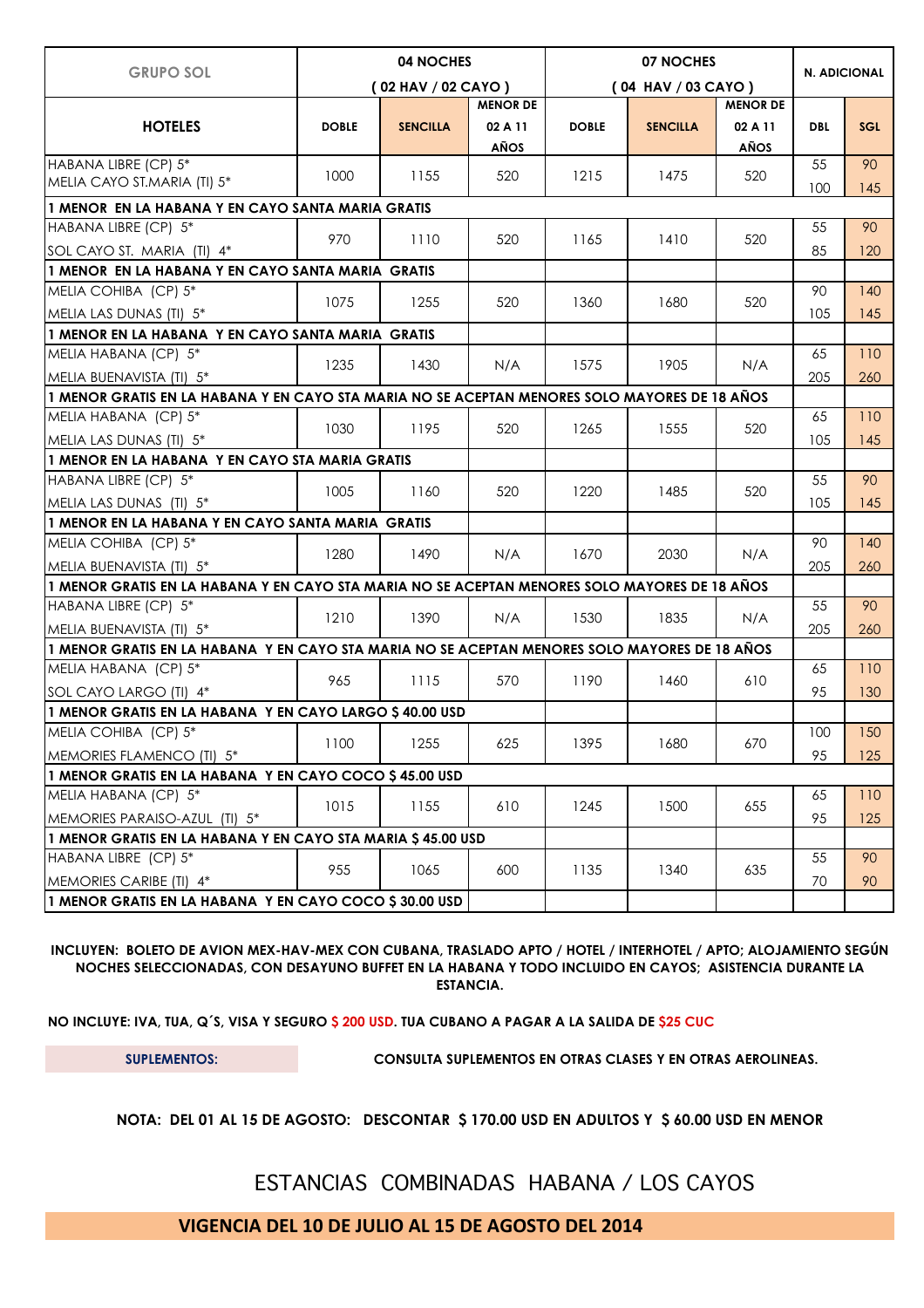| <b>GRUPO SOL</b>                                                                              | 04 NOCHES          |                 |                 |                       | <b>N. ADICIONAL</b> |                 |            |            |
|-----------------------------------------------------------------------------------------------|--------------------|-----------------|-----------------|-----------------------|---------------------|-----------------|------------|------------|
|                                                                                               | (02 HAV / 02 CAYO) |                 |                 | $(04$ HAV $/03$ CAYO) |                     |                 |            |            |
|                                                                                               |                    |                 | <b>MENOR DE</b> |                       |                     | <b>MENOR DE</b> |            |            |
| <b>HOTELES</b>                                                                                | <b>DOBLE</b>       | <b>SENCILLA</b> | 02 A 11         | <b>DOBLE</b>          | <b>SENCILLA</b>     | 02 A 11         | <b>DBL</b> | <b>SGL</b> |
|                                                                                               |                    |                 | AÑOS            |                       |                     | <b>AÑOS</b>     |            |            |
| HABANA LIBRE (CP) 5*                                                                          | 1000               | 1155            | 520             | 1215                  | 1475                | 520             | 55         | 90         |
| MELIA CAYO ST.MARIA (TI) 5*                                                                   |                    |                 |                 |                       |                     |                 | 100        | 145        |
| 1 MENOR EN LA HABANA Y EN CAYO SANTA MARIA GRATIS                                             |                    |                 |                 |                       |                     |                 |            |            |
| HABANA LIBRE (CP) 5*                                                                          | 970                | 1110            | 520             | 1165                  | 1410                | 520             | 55         | 90         |
| SOL CAYO ST. MARIA (TI) 4*                                                                    |                    |                 |                 |                       |                     |                 | 85         | 120        |
| 1 MENOR EN LA HABANA Y EN CAYO SANTA MARIA GRATIS                                             |                    |                 |                 |                       |                     |                 |            |            |
| MELIA COHIBA (CP) 5*                                                                          | 1075               | 1255            | 520             | 1360                  | 1680                | 520             | 90         | 140        |
| MELIA LAS DUNAS (TI) 5*                                                                       |                    |                 |                 |                       |                     |                 | 105        | 145        |
| 1 MENOR EN LA HABANA Y EN CAYO SANTA MARIA GRATIS                                             |                    |                 |                 |                       |                     |                 |            |            |
| MELIA HABANA (CP) 5*                                                                          |                    | 1430            |                 | 1575                  |                     | N/A             | 65         | 110        |
| MELIA BUENAVISTA (TI) 5*                                                                      | 1235               |                 | N/A             |                       | 1905                |                 | 205        | 260        |
| 1 MENOR GRATIS EN LA HABANA Y EN CAYO STA MARIA NO SE ACEPTAN MENORES SOLO MAYORES DE 18 AÑOS |                    |                 |                 |                       |                     |                 |            |            |
| MELIA HABANA (CP) 5*                                                                          |                    | 1195            | 520             |                       |                     |                 | 65         | 110        |
| MELIA LAS DUNAS (TI) 5*                                                                       | 1030               |                 |                 | 1265                  | 1555                | 520             | 105        | 145        |
| 1 MENOR EN LA HABANA Y EN CAYO STA MARIA GRATIS                                               |                    |                 |                 |                       |                     |                 |            |            |
| HABANA LIBRE (CP) 5*                                                                          |                    |                 |                 | 1220                  | 1485                | 520             | 55         | 90         |
| MELIA LAS DUNAS (TI) 5*                                                                       | 1005               | 1160            | 520             |                       |                     |                 | 105        | 145        |
| 1 MENOR EN LA HABANA Y EN CAYO SANTA MARIA GRATIS                                             |                    |                 |                 |                       |                     |                 |            |            |
| MELIA COHIBA (CP) 5*                                                                          |                    |                 | N/A             |                       |                     | N/A             | 90         | 140        |
| MELIA BUENAVISTA (TI) 5*                                                                      | 1280               | 1490            |                 | 1670                  | 2030                |                 | 205        | 260        |
| 1 MENOR GRATIS EN LA HABANA Y EN CAYO STA MARIA NO SE ACEPTAN MENORES SOLO MAYORES DE 18 AÑOS |                    |                 |                 |                       |                     |                 |            |            |
| HABANA LIBRE (CP) 5*                                                                          |                    |                 | N/A             | 1530                  | 1835                |                 | 55         | 90         |
| MELIA BUENAVISTA (TI) 5*                                                                      | 1210               | 1390            |                 |                       |                     | N/A             | 205        | 260        |
| 1 MENOR GRATIS EN LA HABANA Y EN CAYO STA MARIA NO SE ACEPTAN MENORES SOLO MAYORES DE 18 AÑOS |                    |                 |                 |                       |                     |                 |            |            |
| MELIA HABANA (CP) 5*                                                                          |                    |                 |                 |                       |                     | 610             | 65         | 110        |
| SOL CAYO LARGO (TI) 4*                                                                        | 965                | 1115            | 570             | 1190                  | 1460                |                 | 95         | 130        |
| 1 MENOR GRATIS EN LA HABANA Y EN CAYO LARGO \$40.00 USD                                       |                    |                 |                 |                       |                     |                 |            |            |
| MELIA COHIBA (CP) 5*                                                                          |                    |                 |                 |                       |                     |                 | 100        | 150        |
| MEMORIES FLAMENCO (TI) 5*                                                                     | 1100               | 1255            | 625             | 1395                  | 1680                | 670             | 95         | 125        |
| 1 MENOR GRATIS EN LA HABANA Y EN CAYO COCO \$45.00 USD                                        |                    |                 |                 |                       |                     |                 |            |            |
| MELIA HABANA (CP) 5*                                                                          |                    |                 |                 |                       |                     |                 | 65         | 110        |
| MEMORIES PARAISO-AZUL (TI) 5*                                                                 | 1015               | 1155            | 610             | 1245                  | 1500                | 655             | 95         | 125        |
| 1 MENOR GRATIS EN LA HABANA Y EN CAYO STA MARIA \$ 45.00 USD                                  |                    |                 |                 |                       |                     |                 |            |            |
| HABANA LIBRE (CP) 5*                                                                          |                    |                 |                 |                       |                     |                 | 55         | 90         |
| MEMORIES CARIBE (TI) 4*                                                                       | 955                | 1065            | 600             | 1135                  | 1340                | 635             | 70         | 90         |
| 1 MENOR GRATIS EN LA HABANA Y EN CAYO COCO \$30.00 USD                                        |                    |                 |                 |                       |                     |                 |            |            |

**INCLUYEN: BOLETO DE AVION MEX-HAV-MEX CON CUBANA, TRASLADO APTO / HOTEL / INTERHOTEL / APTO; ALOJAMIENTO SEGÚN NOCHES SELECCIONADAS, CON DESAYUNO BUFFET EN LA HABANA Y TODO INCLUIDO EN CAYOS; ASISTENCIA DURANTE LA ESTANCIA.**

**NO INCLUYE: IVA, TUA, Q´S, VISA Y SEGURO \$ 200 USD. TUA CUBANO A PAGAR A LA SALIDA DE \$25 CUC**

**SUPLEMENTOS: CONSULTA SUPLEMENTOS EN OTRAS CLASES Y EN OTRAS AEROLINEAS.** 

**NOTA: DEL 01 AL 15 DE AGOSTO: DESCONTAR \$ 170.00 USD EN ADULTOS Y \$ 60.00 USD EN MENOR**

ESTANCIAS COMBINADAS HABANA / LOS CAYOS

**VIGENCIA DEL 10 DE JULIO AL 15 DE AGOSTO DEL 2014**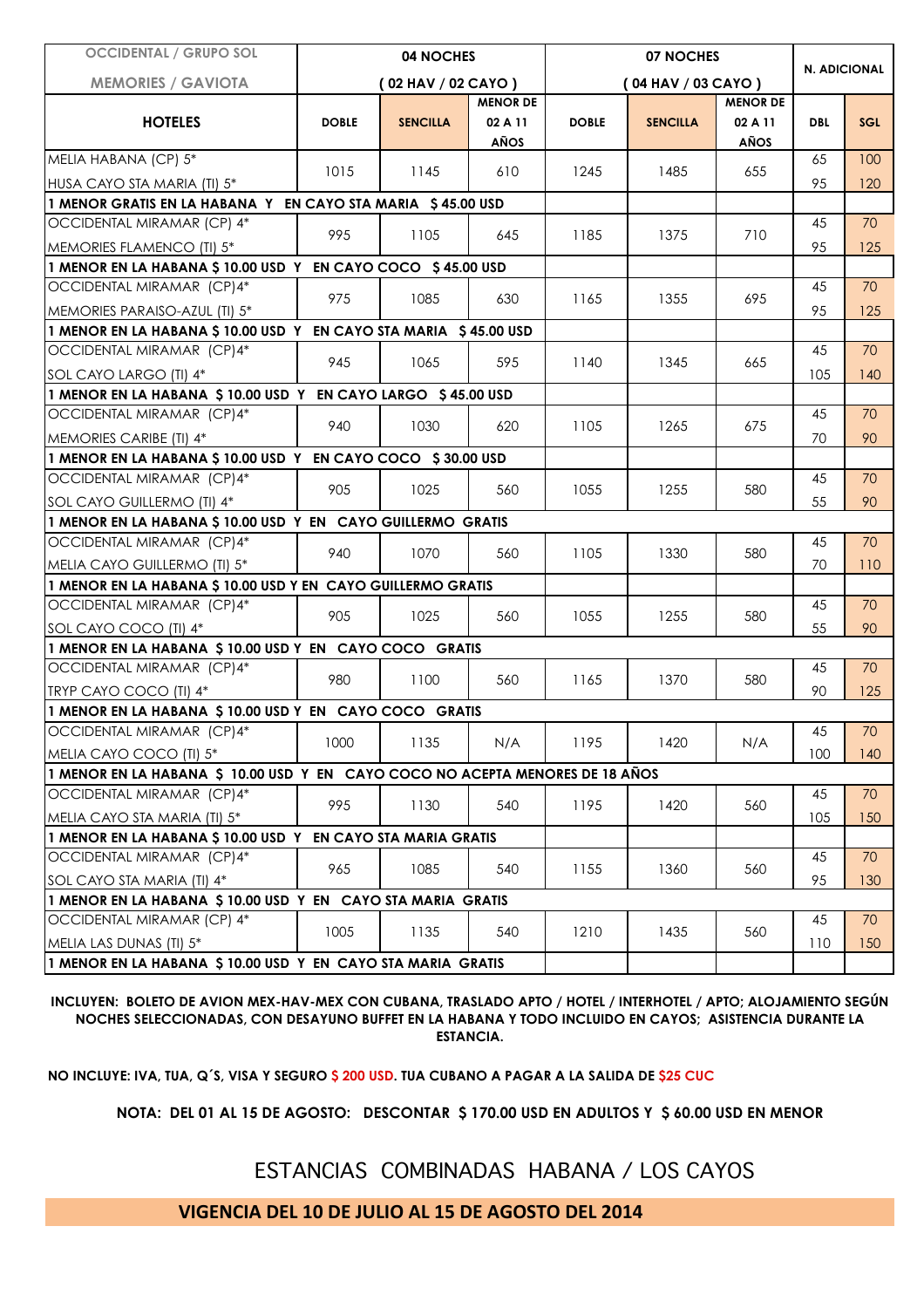| <b>OCCIDENTAL / GRUPO SOL</b>                                                 | 04 NOCHES<br>(02 HAV / 02 CAYO) |                 |                 |              | N. ADICIONAL       |                 |            |            |
|-------------------------------------------------------------------------------|---------------------------------|-----------------|-----------------|--------------|--------------------|-----------------|------------|------------|
| <b>MEMORIES / GAVIOTA</b>                                                     |                                 |                 |                 |              |                    |                 |            |            |
|                                                                               |                                 |                 | <b>MENOR DE</b> |              | (04 HAV / 03 CAYO) | <b>MENOR DE</b> |            |            |
| <b>HOTELES</b>                                                                | <b>DOBLE</b>                    | <b>SENCILLA</b> | 02 A 11         | <b>DOBLE</b> | <b>SENCILLA</b>    | 02 A 11         | <b>DBL</b> | <b>SGL</b> |
|                                                                               |                                 |                 | AÑOS            |              |                    | AÑOS            |            |            |
| MELIA HABANA (CP) 5*                                                          | 1015                            | 1145            | 610             | 1245         | 1485               | 655             | 65         | 100        |
| HUSA CAYO STA MARIA (TI) 5*                                                   |                                 |                 |                 |              |                    |                 | 95         | 120        |
| 1 MENOR GRATIS EN LA HABANA Y EN CAYO STA MARIA \$45.00 USD                   |                                 |                 |                 |              |                    |                 |            |            |
| OCCIDENTAL MIRAMAR (CP) 4*                                                    | 995                             | 1105            | 645             | 1185         | 1375               | 710             | 45         | 70         |
| MEMORIES FLAMENCO (TI) 5*                                                     |                                 |                 |                 |              |                    |                 | 95         | 125        |
| 1 MENOR EN LA HABANA \$ 10.00 USD Y EN CAYO COCO \$45.00 USD                  |                                 |                 |                 |              |                    |                 |            |            |
| OCCIDENTAL MIRAMAR (CP)4*                                                     | 975                             | 1085            | 630             | 1165         | 1355               | 695             | 45         | 70         |
| MEMORIES PARAISO-AZUL (TI) 5*                                                 |                                 |                 |                 |              |                    |                 | 95         | 125        |
| 1 MENOR EN LA HABANA \$ 10.00 USD Y EN CAYO STA MARIA \$45.00 USD             |                                 |                 |                 |              |                    |                 |            |            |
| OCCIDENTAL MIRAMAR (CP)4*                                                     | 945                             | 1065            | 595             | 1140         | 1345               | 665             | 45         | 70         |
| SOL CAYO LARGO (TI) 4*                                                        |                                 |                 |                 |              |                    |                 | 105        | 140        |
| 1 MENOR EN LA HABANA \$10.00 USD Y EN CAYO LARGO \$45.00 USD                  |                                 |                 |                 |              |                    |                 |            |            |
| OCCIDENTAL MIRAMAR (CP)4*                                                     | 940                             | 1030            | 620             | 1105         | 1265               | 675             | 45         | 70         |
| MEMORIES CARIBE (TI) 4*                                                       |                                 |                 |                 |              |                    |                 | 70         | 90         |
| 1 MENOR EN LA HABANA \$ 10.00 USD Y EN CAYO COCO \$30.00 USD                  |                                 |                 |                 |              |                    |                 |            |            |
| OCCIDENTAL MIRAMAR (CP)4*                                                     | 905                             | 1025            | 560             | 1055         | 1255               | 580             | 45         | 70         |
| SOL CAYO GUILLERMO (TI) 4*                                                    |                                 |                 |                 |              |                    |                 | 55         | 90         |
| 1 MENOR EN LA HABANA \$ 10.00 USD Y EN CAYO GUILLERMO GRATIS                  |                                 |                 |                 |              |                    |                 |            |            |
| OCCIDENTAL MIRAMAR (CP)4*                                                     | 940                             | 1070            | 560             | 1105         | 1330               | 580             | 45         | 70         |
| MELIA CAYO GUILLERMO (TI) 5*                                                  |                                 |                 |                 |              |                    |                 | 70         | 110        |
| 1 MENOR EN LA HABANA \$ 10.00 USD Y EN CAYO GUILLERMO GRATIS                  |                                 |                 |                 |              |                    |                 |            |            |
| OCCIDENTAL MIRAMAR (CP)4*                                                     | 905                             | 1025            | 560             | 1055         | 1255               | 580             | 45         | 70         |
| SOL CAYO COCO (TI) 4*                                                         |                                 |                 |                 |              |                    |                 | 55         | 90         |
| 1 MENOR EN LA HABANA \$10.00 USD Y EN CAYO COCO GRATIS                        |                                 |                 |                 |              |                    |                 |            |            |
| OCCIDENTAL MIRAMAR (CP)4*                                                     | 980                             | 1100            | 560             | 1165         | 1370               | 580             | 45         | 70         |
| TRYP CAYO COCO (TI) 4*                                                        |                                 |                 |                 |              |                    |                 | 90         | 125        |
| 1 MENOR EN LA HABANA \$10.00 USD Y EN CAYO COCO GRATIS                        |                                 |                 |                 |              |                    |                 |            |            |
| OCCIDENTAL MIRAMAR (CP)4*                                                     | 1000                            | 1135            | N/A             | 1195         | 1420               | N/A             | 45         | 70         |
| MELIA CAYO COCO (TI) 5*                                                       |                                 |                 |                 |              |                    |                 | 100        | 140        |
| 1 MENOR EN LA HABANA \$ 10.00 USD Y EN CAYO COCO NO ACEPTA MENORES DE 18 AÑOS |                                 |                 |                 |              |                    |                 |            |            |
| OCCIDENTAL MIRAMAR (CP)4*                                                     | 995                             | 1130            | 540             | 1195         | 1420               | 560             | 45         | 70         |
| MELIA CAYO STA MARIA (TI) 5*                                                  |                                 |                 |                 |              |                    |                 | 105        | 150        |
| 1 MENOR EN LA HABANA \$ 10.00 USD Y EN CAYO STA MARIA GRATIS                  |                                 |                 |                 |              |                    |                 |            |            |
| OCCIDENTAL MIRAMAR (CP)4*                                                     | 965                             | 1085            | 540             | 1155         | 1360               | 560             | 45         | 70         |
| SOL CAYO STA MARIA (TI) 4*                                                    |                                 |                 |                 |              |                    |                 | 95         | 130        |
| 1 MENOR EN LA HABANA \$10.00 USD Y EN CAYO STA MARIA GRATIS                   |                                 |                 |                 |              |                    |                 |            |            |
| OCCIDENTAL MIRAMAR (CP) 4*                                                    | 1005                            | 1135            | 540             | 1210         | 1435               | 560             | 45         | 70         |
| MELIA LAS DUNAS (TI) 5*                                                       |                                 |                 |                 |              |                    |                 | 110        | 150        |
| 1 MENOR EN LA HABANA \$10.00 USD Y EN CAYO STA MARIA GRATIS                   |                                 |                 |                 |              |                    |                 |            |            |

**INCLUYEN: BOLETO DE AVION MEX-HAV-MEX CON CUBANA, TRASLADO APTO / HOTEL / INTERHOTEL / APTO; ALOJAMIENTO SEGÚN NOCHES SELECCIONADAS, CON DESAYUNO BUFFET EN LA HABANA Y TODO INCLUIDO EN CAYOS; ASISTENCIA DURANTE LA ESTANCIA.**

**NO INCLUYE: IVA, TUA, Q´S, VISA Y SEGURO \$ 200 USD. TUA CUBANO A PAGAR A LA SALIDA DE \$25 CUC**

**NOTA: DEL 01 AL 15 DE AGOSTO: DESCONTAR \$ 170.00 USD EN ADULTOS Y \$ 60.00 USD EN MENOR**

ESTANCIAS COMBINADAS HABANA / LOS CAYOS

**VIGENCIA DEL 10 DE JULIO AL 15 DE AGOSTO DEL 2014**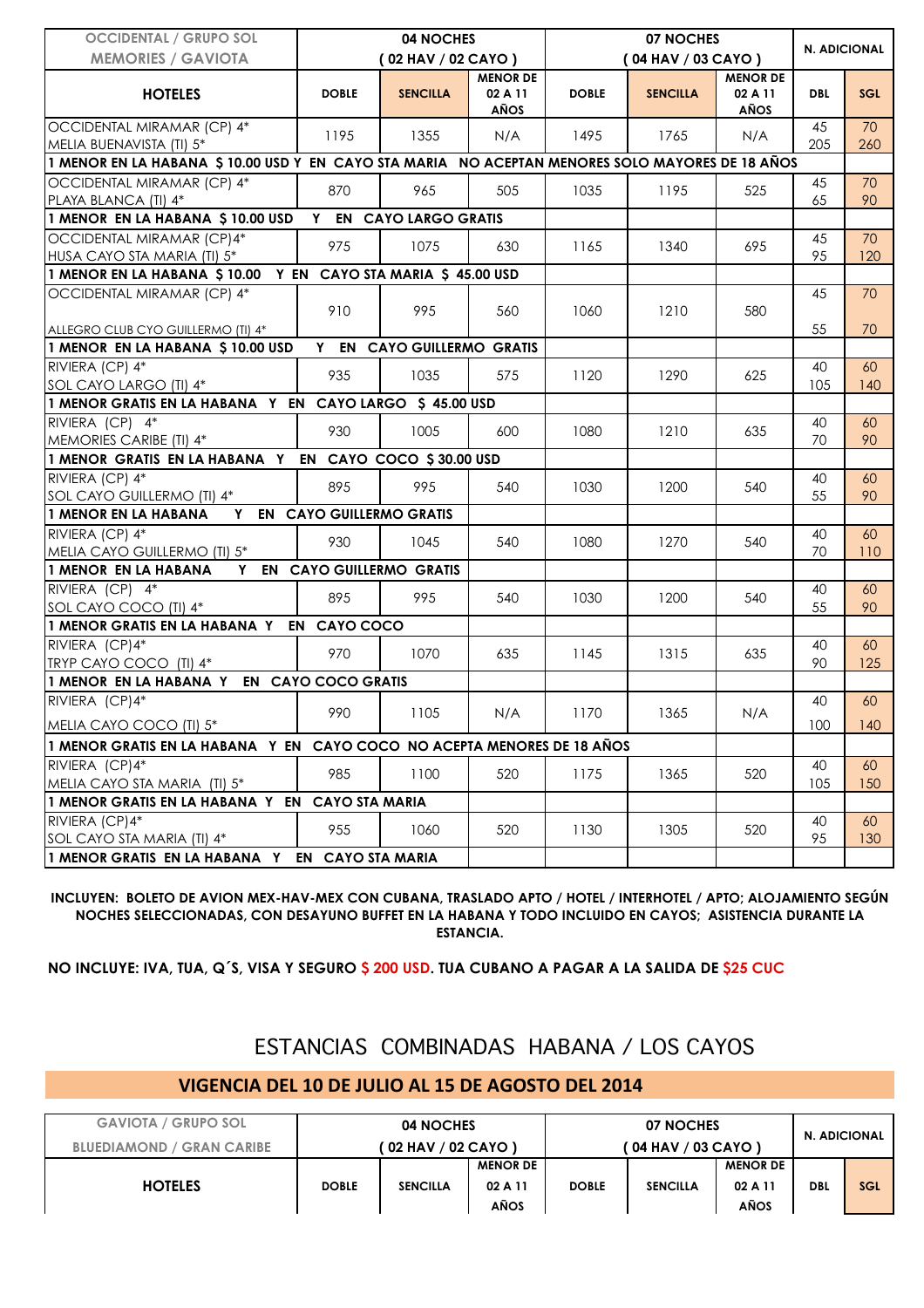| <b>OCCIDENTAL / GRUPO SOL</b>                                                                   | 04 NOCHES                       |                             |                                    |              |                    |                                    |            |            |
|-------------------------------------------------------------------------------------------------|---------------------------------|-----------------------------|------------------------------------|--------------|--------------------|------------------------------------|------------|------------|
| <b>MEMORIES / GAVIOTA</b>                                                                       |                                 | (02 HAV / 02 CAYO)          |                                    |              | (04 HAV / 03 CAYO) | N. ADICIONAL                       |            |            |
| <b>HOTELES</b>                                                                                  | <b>DOBLE</b>                    | <b>SENCILLA</b>             | <b>MENOR DE</b><br>02 A 11<br>AÑOS | <b>DOBLE</b> | <b>SENCILLA</b>    | <b>MENOR DE</b><br>02 A 11<br>AÑOS | <b>DBL</b> | <b>SGL</b> |
| OCCIDENTAL MIRAMAR (CP) 4*<br>MELIA BUENAVISTA (TI) 5*                                          | 1195                            | 1355                        | N/A                                | 1495         | 1765               | N/A                                | 45<br>205  | 70<br>260  |
| 1 MENOR EN LA HABANA \$10.00 USD Y EN CAYO STA MARIA NO ACEPTAN MENORES SOLO MAYORES DE 18 AÑOS |                                 |                             |                                    |              |                    |                                    |            |            |
| OCCIDENTAL MIRAMAR (CP) 4*<br>PLAYA BLANCA (TI) 4*                                              | 870                             | 965                         | 505                                | 1035         | 1195               | 525                                | 45<br>65   | 70<br>90   |
| 1 MENOR EN LA HABANA \$ 10.00 USD                                                               | Y.                              | <b>EN CAYO LARGO GRATIS</b> |                                    |              |                    |                                    |            |            |
| OCCIDENTAL MIRAMAR (CP)4*<br>HUSA CAYO STA MARIA (TI) 5*                                        | 975                             | 1075                        | 630                                | 1165         | 1340               | 695                                | 45<br>95   | 70<br>120  |
| 1 MENOR EN LA HABANA \$10.00 Y EN CAYO STA MARIA \$45.00 USD                                    |                                 |                             |                                    |              |                    |                                    |            |            |
| OCCIDENTAL MIRAMAR (CP) 4*<br>ALLEGRO CLUB CYO GUILLERMO (TI) 4*                                | 910                             | 995                         | 560                                | 1060         | 1210               | 580                                | 45<br>55   | 70<br>70   |
| 1 MENOR EN LA HABANA \$10.00 USD                                                                |                                 | Y EN CAYO GUILLERMO GRATIS  |                                    |              |                    |                                    |            |            |
| RIVIERA (CP) 4*<br>SOL CAYO LARGO (TI) 4*                                                       | 935                             | 1035                        | 575                                | 1120         | 1290               | 625                                | 40<br>105  | 60<br>140  |
| 1 MENOR GRATIS EN LA HABANA Y EN CAYO LARGO \$ 45.00 USD                                        |                                 |                             |                                    |              |                    |                                    |            |            |
| RIVIERA (CP) 4*<br>MEMORIES CARIBE (TI) 4*                                                      | 930                             | 1005                        | 600                                | 1080         | 1210               | 635                                | 40<br>70   | 60<br>90   |
| 1 MENOR GRATIS EN LA HABANA Y EN CAYO COCO \$30.00 USD                                          |                                 |                             |                                    |              |                    |                                    |            |            |
| RIVIERA (CP) 4*<br>SOL CAYO GUILLERMO (TI) 4*                                                   | 895                             | 995                         | 540                                | 1030         | 1200               | 540                                | 40<br>55   | 60<br>90   |
| 1 MENOR EN LA HABANA<br>Y                                                                       | <b>EN CAYO GUILLERMO GRATIS</b> |                             |                                    |              |                    |                                    |            |            |
| RIVIERA (CP) 4*<br>MELIA CAYO GUILLERMO (TI) 5*                                                 | 930                             | 1045                        | 540                                | 1080         | 1270               | 540                                | 40<br>70   | 60<br>110  |
| 1 MENOR EN LA HABANA                                                                            |                                 | Y EN CAYO GUILLERMO GRATIS  |                                    |              |                    |                                    |            |            |
| RIVIERA (CP) 4*<br>SOL CAYO COCO (TI) 4*                                                        | 895                             | 995                         | 540                                | 1030         | 1200               | 540                                | 40<br>55   | 60<br>90   |
| 1 MENOR GRATIS EN LA HABANA Y EN CAYO COCO                                                      |                                 |                             |                                    |              |                    |                                    |            |            |
| RIVIERA (CP)4*<br>TRYP CAYO COCO (TI) 4*                                                        | 970                             | 1070                        | 635                                | 1145         | 1315               | 635                                | 40<br>90   | 60<br>125  |
| 1 MENOR EN LA HABANA Y EN CAYO COCO GRATIS                                                      |                                 |                             |                                    |              |                    |                                    |            |            |
| RIVIERA (CP)4*<br>MELIA CAYO COCO (TI) 5*                                                       | 990                             | 1105                        | N/A                                | 1170         | 1365               | N/A                                | 40<br>100  | 60<br>140  |
| 1 MENOR GRATIS EN LA HABANA Y EN CAYO COCO NO ACEPTA MENORES DE 18 AÑOS                         |                                 |                             |                                    |              |                    |                                    |            |            |
| RIVIERA (CP)4*<br>MELIA CAYO STA MARIA (TI) 5*                                                  | 985                             | 1100                        | 520                                | 1175         | 1365               | 520                                | 40<br>105  | 60<br>150  |
| 1 MENOR GRATIS EN LA HABANA Y EN                                                                | <b>CAYO STA MARIA</b>           |                             |                                    |              |                    |                                    |            |            |
| RIVIERA (CP)4*<br>SOL CAYO STA MARIA (TI) 4*                                                    | 955                             | 1060                        | 520                                | 1130         | 1305               | 520                                | 40<br>95   | 60<br>130  |
| 1 MENOR GRATIS EN LA HABANA Y                                                                   | EN                              | <b>CAYO STA MARIA</b>       |                                    |              |                    |                                    |            |            |

**INCLUYEN: BOLETO DE AVION MEX-HAV-MEX CON CUBANA, TRASLADO APTO / HOTEL / INTERHOTEL / APTO; ALOJAMIENTO SEGÚN NOCHES SELECCIONADAS, CON DESAYUNO BUFFET EN LA HABANA Y TODO INCLUIDO EN CAYOS; ASISTENCIA DURANTE LA ESTANCIA.**

**NO INCLUYE: IVA, TUA, Q´S, VISA Y SEGURO \$ 200 USD. TUA CUBANO A PAGAR A LA SALIDA DE \$25 CUC**

## ESTANCIAS COMBINADAS HABANA / LOS CAYOS

## **VIGENCIA DEL 10 DE JULIO AL 15 DE AGOSTO DEL 2014**

| <b>GAVIOTA / GRUPO SOL</b>       | 04 NOCHES                 |                 |                 |                    |                 |                 |              |            |
|----------------------------------|---------------------------|-----------------|-----------------|--------------------|-----------------|-----------------|--------------|------------|
| <b>BLUEDIAMOND / GRAN CARIBE</b> | <b>02 HAV / 02 CAYO )</b> |                 |                 | (04 HAV / 03 CAYO) |                 |                 | N. ADICIONAL |            |
|                                  |                           |                 | <b>MENOR DE</b> |                    |                 | <b>MENOR DE</b> |              |            |
| <b>HOTELES</b>                   | <b>DOBLE</b>              | <b>SENCILLA</b> | 02 A 11         | <b>DOBLE</b>       | <b>SENCILLA</b> | 02 A 11         | <b>DBL</b>   | <b>SGL</b> |
|                                  |                           |                 | AÑOS            |                    |                 | AÑOS            |              |            |